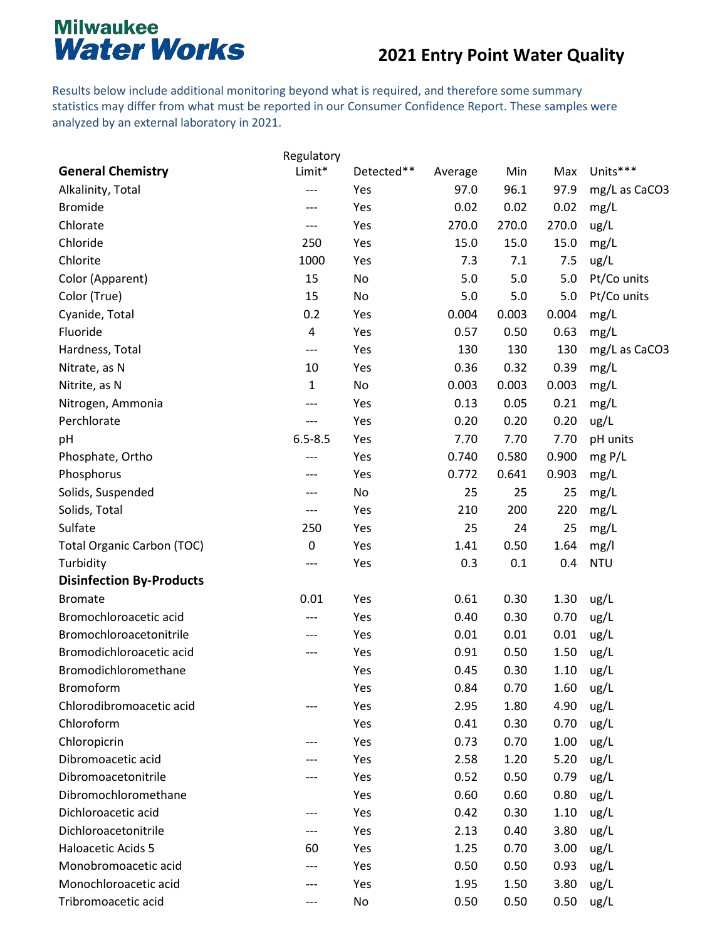#### **2021 Entry Point Water Quality**

Results below include additional monitoring beyond what is required, and therefore some summary statistics may differ from what must be reported in our Consumer Confidence Report. These samples were analyzed by an external laboratory in 2021.

|                                   | Regulatory   |            |         |       |       |               |
|-----------------------------------|--------------|------------|---------|-------|-------|---------------|
| <b>General Chemistry</b>          | Limit*       | Detected** | Average | Min   | Max   | Units***      |
| Alkalinity, Total                 | ---          | Yes        | 97.0    | 96.1  | 97.9  | mg/L as CaCO3 |
| <b>Bromide</b>                    | ---          | Yes        | 0.02    | 0.02  | 0.02  | mg/L          |
| Chlorate                          | ---          | Yes        | 270.0   | 270.0 | 270.0 | ug/L          |
| Chloride                          | 250          | Yes        | 15.0    | 15.0  | 15.0  | mg/L          |
| Chlorite                          | 1000         | Yes        | 7.3     | 7.1   | 7.5   | ug/L          |
| Color (Apparent)                  | 15           | No         | 5.0     | 5.0   | 5.0   | Pt/Co units   |
| Color (True)                      | 15           | No         | 5.0     | 5.0   | 5.0   | Pt/Co units   |
| Cyanide, Total                    | 0.2          | Yes        | 0.004   | 0.003 | 0.004 | mg/L          |
| Fluoride                          | 4            | Yes        | 0.57    | 0.50  | 0.63  | mg/L          |
| Hardness, Total                   | ---          | Yes        | 130     | 130   | 130   | mg/L as CaCO3 |
| Nitrate, as N                     | 10           | Yes        | 0.36    | 0.32  | 0.39  | mg/L          |
| Nitrite, as N                     | $\mathbf{1}$ | No         | 0.003   | 0.003 | 0.003 | mg/L          |
| Nitrogen, Ammonia                 | ---          | Yes        | 0.13    | 0.05  | 0.21  | mg/L          |
| Perchlorate                       | ---          | Yes        | 0.20    | 0.20  | 0.20  | ug/L          |
| pH                                | $6.5 - 8.5$  | Yes        | 7.70    | 7.70  | 7.70  | pH units      |
| Phosphate, Ortho                  | ---          | Yes        | 0.740   | 0.580 | 0.900 | mgP/L         |
| Phosphorus                        | ---          | Yes        | 0.772   | 0.641 | 0.903 | mg/L          |
| Solids, Suspended                 | ---          | No         | 25      | 25    | 25    | mg/L          |
| Solids, Total                     | ---          | Yes        | 210     | 200   | 220   | mg/L          |
| Sulfate                           | 250          | Yes        | 25      | 24    | 25    | mg/L          |
| <b>Total Organic Carbon (TOC)</b> | 0            | Yes        | 1.41    | 0.50  | 1.64  | mg/l          |
| Turbidity                         | ---          | Yes        | 0.3     | 0.1   | 0.4   | <b>NTU</b>    |
| <b>Disinfection By-Products</b>   |              |            |         |       |       |               |
| <b>Bromate</b>                    | 0.01         | Yes        | 0.61    | 0.30  | 1.30  | ug/L          |
| Bromochloroacetic acid            | ---          | Yes        | 0.40    | 0.30  | 0.70  | ug/L          |
| Bromochloroacetonitrile           | ---          | Yes        | 0.01    | 0.01  | 0.01  | ug/L          |
| Bromodichloroacetic acid          | ---          | Yes        | 0.91    | 0.50  | 1.50  | ug/L          |
| Bromodichloromethane              |              | Yes        | 0.45    | 0.30  | 1.10  | ug/L          |
| Bromoform                         |              | Yes        | 0.84    | 0.70  | 1.60  | ug/L          |
| Chlorodibromoacetic acid          | ---          | Yes        | 2.95    | 1.80  | 4.90  | ug/L          |
| Chloroform                        |              | Yes        | 0.41    | 0.30  | 0.70  | ug/L          |
| Chloropicrin                      | ---          | Yes        | 0.73    | 0.70  | 1.00  | ug/L          |
| Dibromoacetic acid                |              | Yes        | 2.58    | 1.20  | 5.20  | ug/L          |
| Dibromoacetonitrile               |              | Yes        | 0.52    | 0.50  | 0.79  | ug/L          |
| Dibromochloromethane              |              | Yes        | 0.60    | 0.60  | 0.80  | ug/L          |
| Dichloroacetic acid               | ---          | Yes        | 0.42    | 0.30  | 1.10  | ug/L          |
| Dichloroacetonitrile              | ---          | Yes        | 2.13    | 0.40  | 3.80  | ug/L          |
| Haloacetic Acids 5                | 60           | Yes        | 1.25    | 0.70  | 3.00  | ug/L          |
| Monobromoacetic acid              | ---          | Yes        | 0.50    | 0.50  | 0.93  | ug/L          |
| Monochloroacetic acid             | ---          | Yes        | 1.95    | 1.50  | 3.80  | ug/L          |
| Tribromoacetic acid               | ---          | No         | 0.50    | 0.50  | 0.50  | ug/L          |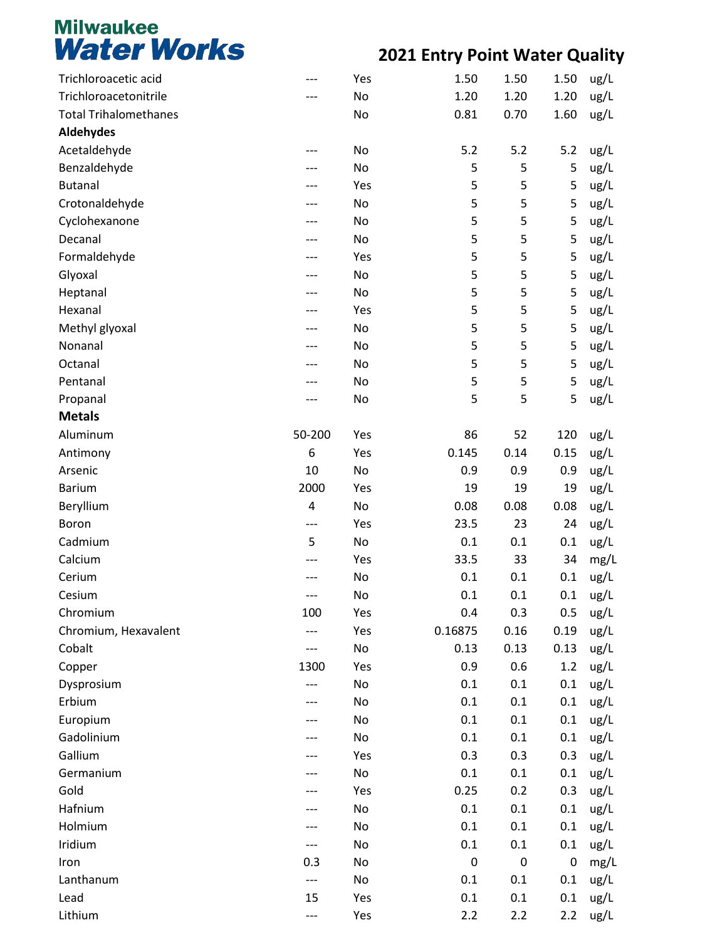| Trichloroacetic acid         |        | Yes | 1.50      | 1.50      | 1.50      | ug/L |
|------------------------------|--------|-----|-----------|-----------|-----------|------|
| Trichloroacetonitrile        |        | No  | 1.20      | 1.20      | 1.20      | ug/L |
| <b>Total Trihalomethanes</b> |        | No  | 0.81      | 0.70      | 1.60      | ug/L |
| Aldehydes                    |        |     |           |           |           |      |
| Acetaldehyde                 |        | No  | 5.2       | 5.2       | 5.2       | ug/L |
| Benzaldehyde                 |        | No  | 5         | 5         | 5         | ug/L |
| <b>Butanal</b>               |        | Yes | 5         | 5         | 5         | ug/L |
| Crotonaldehyde               |        | No  | 5         | 5         | 5         | ug/L |
| Cyclohexanone                |        | No  | 5         | 5         | 5         | ug/L |
| Decanal                      |        | No  | 5         | 5         | 5         | ug/L |
| Formaldehyde                 | ---    | Yes | 5         | 5         | 5         | ug/L |
| Glyoxal                      |        | No  | 5         | 5         | 5         | ug/L |
| Heptanal                     |        | No  | 5         | 5         | 5         | ug/L |
| Hexanal                      |        | Yes | 5         | 5         | 5         | ug/L |
| Methyl glyoxal               | ---    | No  | 5         | 5         | 5         | ug/L |
| Nonanal                      |        | No  | 5         | 5         | 5         | ug/L |
| Octanal                      |        | No  | 5         | 5         | 5         | ug/L |
| Pentanal                     |        | No  | 5         | 5         | 5         | ug/L |
| Propanal                     | ---    | No  | 5         | 5         | 5         | ug/L |
| <b>Metals</b>                |        |     |           |           |           |      |
| Aluminum                     | 50-200 | Yes | 86        | 52        | 120       | ug/L |
| Antimony                     | 6      | Yes | 0.145     | 0.14      | 0.15      | ug/L |
| Arsenic                      | 10     | No  | 0.9       | 0.9       | 0.9       | ug/L |
| <b>Barium</b>                | 2000   | Yes | 19        | 19        | 19        | ug/L |
| Beryllium                    | 4      | No  | 0.08      | 0.08      | 0.08      | ug/L |
| Boron                        | ---    | Yes | 23.5      | 23        | 24        | ug/L |
| Cadmium                      | 5      | No  | 0.1       | 0.1       | 0.1       | ug/L |
| Calcium                      |        | Yes | 33.5      | 33        | 34        | mg/L |
| Cerium                       |        | No  | 0.1       | 0.1       | 0.1       | ug/L |
| Cesium                       | ---    | No  | 0.1       | 0.1       | 0.1       | ug/L |
| Chromium                     | 100    | Yes | 0.4       | 0.3       | 0.5       | ug/L |
| Chromium, Hexavalent         |        | Yes | 0.16875   | 0.16      | 0.19      | ug/L |
| Cobalt                       | ---    | No  | 0.13      | 0.13      | 0.13      | ug/L |
| Copper                       | 1300   | Yes | 0.9       | 0.6       | 1.2       | ug/L |
| Dysprosium                   | ---    | No  | 0.1       | 0.1       | 0.1       | ug/L |
| Erbium                       | ---    | No  | 0.1       | 0.1       | 0.1       | ug/L |
| Europium                     |        | No  | 0.1       | 0.1       | 0.1       | ug/L |
| Gadolinium                   |        | No  | 0.1       | 0.1       | 0.1       | ug/L |
| Gallium                      |        | Yes | 0.3       | 0.3       | 0.3       | ug/L |
| Germanium                    |        | No  | 0.1       | 0.1       | 0.1       | ug/L |
| Gold                         |        | Yes | 0.25      | 0.2       | 0.3       | ug/L |
| Hafnium                      |        | No  | 0.1       | 0.1       | 0.1       | ug/L |
| Holmium                      |        | No  | 0.1       | 0.1       | 0.1       | ug/L |
| Iridium                      | ---    | No  | 0.1       | 0.1       | 0.1       | ug/L |
| Iron                         | 0.3    | No  | $\pmb{0}$ | $\pmb{0}$ | $\pmb{0}$ | mg/L |
| Lanthanum                    | ---    | No  | 0.1       | 0.1       | 0.1       | ug/L |
| Lead                         | 15     | Yes | 0.1       | 0.1       | 0.1       | ug/L |
| Lithium                      | ---    | Yes | 2.2       | 2.2       | 2.2       | ug/L |
|                              |        |     |           |           |           |      |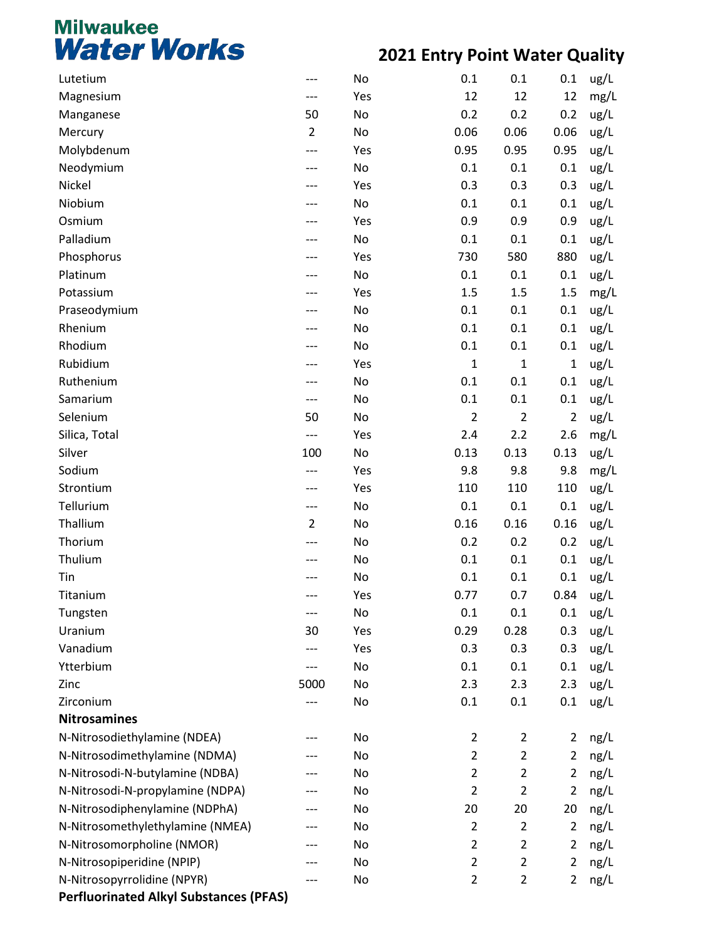| Lutetium                                      |                | No  | 0.1            | 0.1            | 0.1            | ug/L |
|-----------------------------------------------|----------------|-----|----------------|----------------|----------------|------|
| Magnesium                                     | ---            | Yes | 12             | 12             | 12             | mg/L |
| Manganese                                     | 50             | No  | 0.2            | 0.2            | 0.2            | ug/L |
| Mercury                                       | $\overline{2}$ | No  | 0.06           | 0.06           | 0.06           | ug/L |
| Molybdenum                                    | ---            | Yes | 0.95           | 0.95           | 0.95           | ug/L |
| Neodymium                                     |                | No  | 0.1            | 0.1            | 0.1            | ug/L |
| Nickel                                        |                | Yes | 0.3            | 0.3            | 0.3            | ug/L |
| Niobium                                       | ---            | No  | 0.1            | 0.1            | 0.1            | ug/L |
| Osmium                                        |                | Yes | 0.9            | 0.9            | 0.9            | ug/L |
| Palladium                                     |                | No  | 0.1            | 0.1            | 0.1            | ug/L |
| Phosphorus                                    |                | Yes | 730            | 580            | 880            | ug/L |
| Platinum                                      |                | No  | 0.1            | 0.1            | 0.1            | ug/L |
| Potassium                                     |                | Yes | 1.5            | 1.5            | 1.5            | mg/L |
| Praseodymium                                  |                | No  | 0.1            | 0.1            | 0.1            | ug/L |
| Rhenium                                       |                | No  | 0.1            | 0.1            | 0.1            | ug/L |
| Rhodium                                       |                | No  | 0.1            | 0.1            | 0.1            | ug/L |
| Rubidium                                      |                | Yes | $\mathbf 1$    | $\mathbf{1}$   | $\mathbf{1}$   | ug/L |
| Ruthenium                                     |                | No  | 0.1            | 0.1            | 0.1            | ug/L |
| Samarium                                      | ---            | No  | 0.1            | 0.1            | 0.1            | ug/L |
| Selenium                                      | 50             | No  | $\overline{2}$ | $\overline{2}$ | $\overline{2}$ | ug/L |
| Silica, Total                                 | ---            | Yes | 2.4            | 2.2            | 2.6            | mg/L |
| Silver                                        | 100            | No  | 0.13           | 0.13           | 0.13           | ug/L |
| Sodium                                        | ---            | Yes | 9.8            | 9.8            | 9.8            | mg/L |
| Strontium                                     | ---            | Yes | 110            | 110            | 110            | ug/L |
| Tellurium                                     | ---            | No  | 0.1            | 0.1            | 0.1            | ug/L |
| Thallium                                      | $\overline{2}$ | No  | 0.16           | 0.16           | 0.16           | ug/L |
| Thorium                                       | ---            | No  | 0.2            | 0.2            | 0.2            | ug/L |
| Thulium                                       |                | No  | 0.1            | 0.1            | 0.1            | ug/L |
| Tin                                           |                | No  | 0.1            | 0.1            | 0.1            | ug/L |
| Titanium                                      | ---            | Yes | 0.77           | 0.7            | 0.84           | ug/L |
| Tungsten                                      | ---            | No  | 0.1            | 0.1            | 0.1            | ug/L |
| Uranium                                       | 30             | Yes | 0.29           | 0.28           | 0.3            | ug/L |
| Vanadium                                      | ---            | Yes | 0.3            | 0.3            | 0.3            | ug/L |
| Ytterbium                                     | ---            | No  | 0.1            | 0.1            | 0.1            | ug/L |
| Zinc                                          | 5000           | No  | 2.3            | 2.3            | 2.3            | ug/L |
| Zirconium                                     | ---            | No  | 0.1            | 0.1            | 0.1            | ug/L |
| <b>Nitrosamines</b>                           |                |     |                |                |                |      |
| N-Nitrosodiethylamine (NDEA)                  | ---            | No  | $\overline{2}$ | $\overline{2}$ | $\overline{2}$ | ng/L |
| N-Nitrosodimethylamine (NDMA)                 |                | No  | $\overline{2}$ | $\overline{2}$ | $\overline{2}$ | ng/L |
| N-Nitrosodi-N-butylamine (NDBA)               | ---            | No  | $\overline{2}$ | $\overline{2}$ | $\overline{2}$ | ng/L |
| N-Nitrosodi-N-propylamine (NDPA)              | ---            | No  | $\overline{2}$ | $\overline{2}$ | 2              | ng/L |
| N-Nitrosodiphenylamine (NDPhA)                | ---            | No  | 20             | 20             | 20             | ng/L |
| N-Nitrosomethylethylamine (NMEA)              |                | No  | $\overline{2}$ | $\overline{2}$ | $\overline{2}$ | ng/L |
| N-Nitrosomorpholine (NMOR)                    | ---            | No  | $\overline{2}$ | $\overline{2}$ | $\overline{2}$ | ng/L |
| N-Nitrosopiperidine (NPIP)                    | ---            | No  | $\overline{2}$ | $\overline{2}$ | $\overline{2}$ | ng/L |
| N-Nitrosopyrrolidine (NPYR)                   | ---            | No  | $\overline{2}$ | $\overline{2}$ | $\overline{2}$ | ng/L |
| <b>Perfluorinated Alkyl Substances (PFAS)</b> |                |     |                |                |                |      |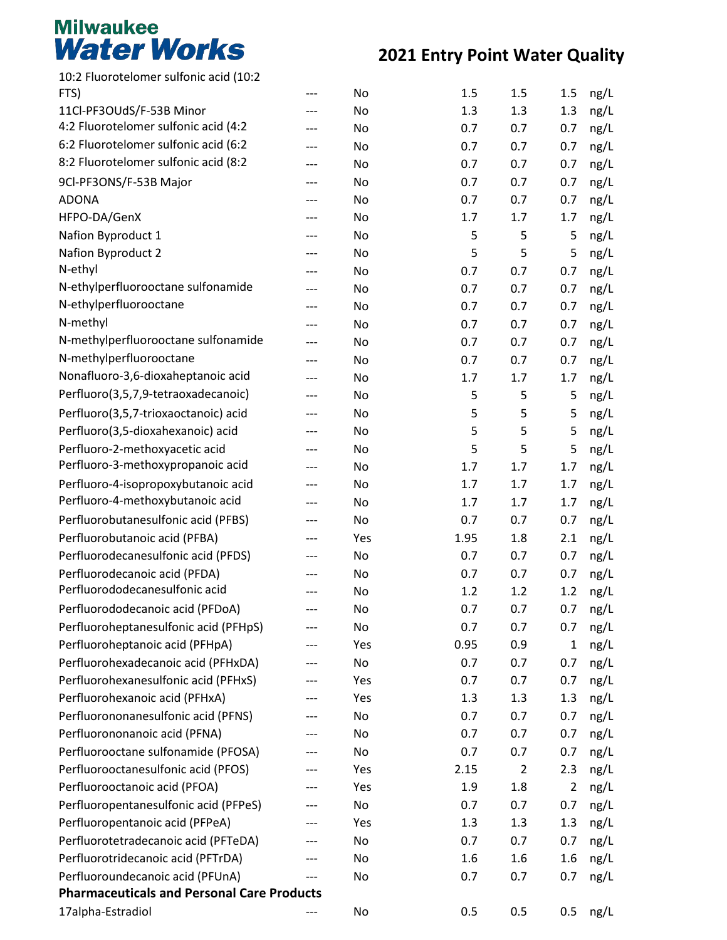| 10:2 Fluorotelomer sulfonic acid (10:2<br>FTS)    | --- | No  | 1.5  | 1.5            | 1.5            |              |
|---------------------------------------------------|-----|-----|------|----------------|----------------|--------------|
| 11Cl-PF3OUdS/F-53B Minor                          | --- | No  | 1.3  | 1.3            | 1.3            | ng/L         |
| 4:2 Fluorotelomer sulfonic acid (4:2              | --- | No  | 0.7  | 0.7            | 0.7            | ng/L<br>ng/L |
| 6:2 Fluorotelomer sulfonic acid (6:2              | --- | No  | 0.7  | 0.7            | 0.7            | ng/L         |
| 8:2 Fluorotelomer sulfonic acid (8:2              | --- | No  | 0.7  | 0.7            | 0.7            | ng/L         |
| 9Cl-PF3ONS/F-53B Major                            | --- | No  | 0.7  | 0.7            | 0.7            | ng/L         |
| <b>ADONA</b>                                      | --- | No  | 0.7  | 0.7            | 0.7            | ng/L         |
| HFPO-DA/GenX                                      | --- | No  | 1.7  | 1.7            | 1.7            | ng/L         |
| Nafion Byproduct 1                                | --- | No  | 5    | 5              | 5              | ng/L         |
| Nafion Byproduct 2                                | --- | No  | 5    | 5              | 5              | ng/L         |
| N-ethyl                                           | --- | No  | 0.7  | 0.7            | 0.7            | ng/L         |
| N-ethylperfluorooctane sulfonamide                | --- | No  | 0.7  | 0.7            | 0.7            | ng/L         |
| N-ethylperfluorooctane                            | --- | No  | 0.7  | 0.7            | 0.7            | ng/L         |
| N-methyl                                          | --- | No  | 0.7  | 0.7            | 0.7            | ng/L         |
| N-methylperfluorooctane sulfonamide               | --- | No  | 0.7  | 0.7            | 0.7            | ng/L         |
| N-methylperfluorooctane                           | --- | No  | 0.7  | 0.7            | 0.7            | ng/L         |
| Nonafluoro-3,6-dioxaheptanoic acid                | --- | No  | 1.7  | 1.7            | 1.7            | ng/L         |
| Perfluoro(3,5,7,9-tetraoxadecanoic)               | --- | No  | 5    | 5              | 5              | ng/L         |
| Perfluoro(3,5,7-trioxaoctanoic) acid              | --- | No  | 5    | 5              | 5              | ng/L         |
| Perfluoro(3,5-dioxahexanoic) acid                 | --- | No  | 5    | 5              | 5              | ng/L         |
| Perfluoro-2-methoxyacetic acid                    | --- | No  | 5    | 5              | 5              | ng/L         |
| Perfluoro-3-methoxypropanoic acid                 | --- | No  | 1.7  | 1.7            | 1.7            | ng/L         |
| Perfluoro-4-isopropoxybutanoic acid               | --- | No  | 1.7  | 1.7            | 1.7            | ng/L         |
| Perfluoro-4-methoxybutanoic acid                  | --- | No  | 1.7  | 1.7            | 1.7            | ng/L         |
| Perfluorobutanesulfonic acid (PFBS)               | --- | No  | 0.7  | 0.7            | 0.7            | ng/L         |
| Perfluorobutanoic acid (PFBA)                     | --- | Yes | 1.95 | 1.8            | 2.1            | ng/L         |
| Perfluorodecanesulfonic acid (PFDS)               | --- | No  | 0.7  | 0.7            | 0.7            | ng/L         |
| Perfluorodecanoic acid (PFDA)                     |     | No  | 0.7  | 0.7            | 0.7            | ng/L         |
| Perfluorododecanesulfonic acid                    | --- | No  | 1.2  | 1.2            | 1.2            | ng/L         |
| Perfluorododecanoic acid (PFDoA)                  |     | No  | 0.7  | 0.7            | 0.7            | ng/L         |
| Perfluoroheptanesulfonic acid (PFHpS)             |     | No  | 0.7  | 0.7            | 0.7            | ng/L         |
| Perfluoroheptanoic acid (PFHpA)                   | --- | Yes | 0.95 | 0.9            | 1              | ng/L         |
| Perfluorohexadecanoic acid (PFHxDA)               | --- | No  | 0.7  | 0.7            | 0.7            | ng/L         |
| Perfluorohexanesulfonic acid (PFHxS)              |     | Yes | 0.7  | 0.7            | 0.7            | ng/L         |
| Perfluorohexanoic acid (PFHxA)                    | --- | Yes | 1.3  | 1.3            | 1.3            | ng/L         |
| Perfluorononanesulfonic acid (PFNS)               | --- | No  | 0.7  | 0.7            | 0.7            | ng/L         |
| Perfluorononanoic acid (PFNA)                     | --- | No  | 0.7  | 0.7            | 0.7            | ng/L         |
| Perfluorooctane sulfonamide (PFOSA)               |     | No  | 0.7  | 0.7            | 0.7            | ng/L         |
| Perfluorooctanesulfonic acid (PFOS)               |     | Yes | 2.15 | $\overline{2}$ | 2.3            | ng/L         |
| Perfluorooctanoic acid (PFOA)                     | --- | Yes | 1.9  | 1.8            | $\overline{2}$ | ng/L         |
| Perfluoropentanesulfonic acid (PFPeS)             | --- | No  | 0.7  | 0.7            | 0.7            | ng/L         |
| Perfluoropentanoic acid (PFPeA)                   |     | Yes | 1.3  | 1.3            | 1.3            | ng/L         |
| Perfluorotetradecanoic acid (PFTeDA)              | --- | No  | 0.7  | 0.7            | 0.7            | ng/L         |
| Perfluorotridecanoic acid (PFTrDA)                | --- | No  | 1.6  | 1.6            | 1.6            | ng/L         |
| Perfluoroundecanoic acid (PFUnA)                  | --- | No  | 0.7  | 0.7            | 0.7            | ng/L         |
| <b>Pharmaceuticals and Personal Care Products</b> |     |     |      |                |                |              |
| 17alpha-Estradiol                                 | --- | No  | 0.5  | 0.5            | 0.5            | ng/L         |
|                                                   |     |     |      |                |                |              |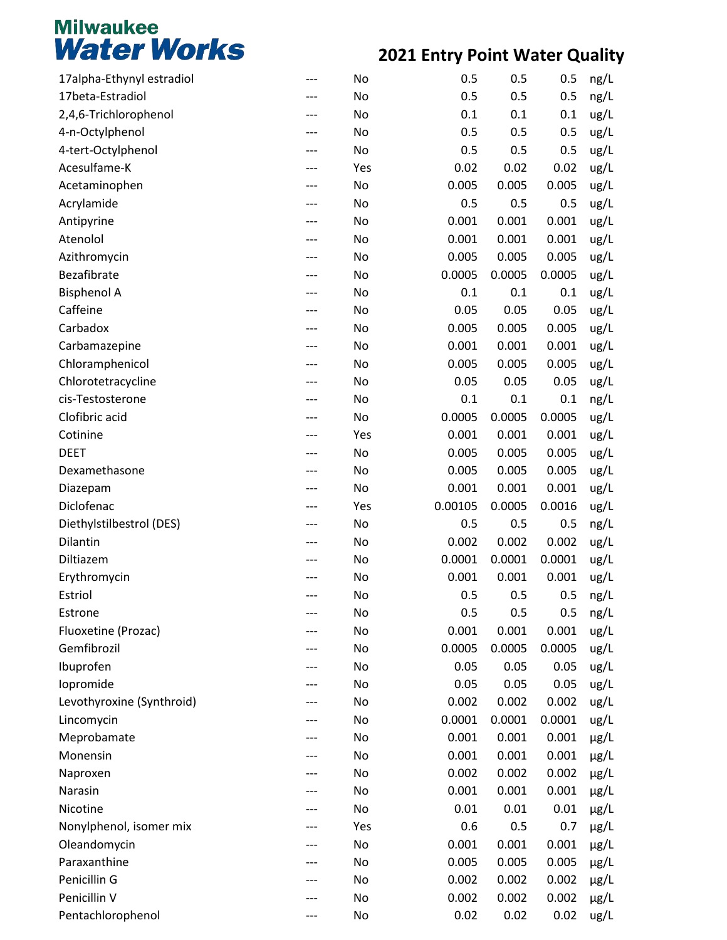| 17alpha-Ethynyl estradiol |     | No  | 0.5     | 0.5    | 0.5    | ng/L      |
|---------------------------|-----|-----|---------|--------|--------|-----------|
| 17beta-Estradiol          |     | No  | 0.5     | 0.5    | 0.5    | ng/L      |
| 2,4,6-Trichlorophenol     | --- | No  | 0.1     | 0.1    | 0.1    | ug/L      |
| 4-n-Octylphenol           |     | No  | 0.5     | 0.5    | 0.5    | ug/L      |
| 4-tert-Octylphenol        |     | No  | 0.5     | 0.5    | 0.5    | ug/L      |
| Acesulfame-K              |     | Yes | 0.02    | 0.02   | 0.02   | ug/L      |
| Acetaminophen             | --- | No  | 0.005   | 0.005  | 0.005  | ug/L      |
| Acrylamide                |     | No  | 0.5     | 0.5    | 0.5    | ug/L      |
| Antipyrine                |     | No  | 0.001   | 0.001  | 0.001  | ug/L      |
| Atenolol                  |     | No  | 0.001   | 0.001  | 0.001  | ug/L      |
| Azithromycin              | --- | No  | 0.005   | 0.005  | 0.005  | ug/L      |
| Bezafibrate               |     | No  | 0.0005  | 0.0005 | 0.0005 | ug/L      |
| <b>Bisphenol A</b>        |     | No  | 0.1     | 0.1    | 0.1    | ug/L      |
| Caffeine                  |     | No  | 0.05    | 0.05   | 0.05   | ug/L      |
| Carbadox                  | --- | No  | 0.005   | 0.005  | 0.005  | ug/L      |
| Carbamazepine             |     | No  | 0.001   | 0.001  | 0.001  | ug/L      |
| Chloramphenicol           |     | No  | 0.005   | 0.005  | 0.005  | ug/L      |
| Chlorotetracycline        |     | No  | 0.05    | 0.05   | 0.05   | ug/L      |
| cis-Testosterone          | --- | No  | 0.1     | 0.1    | 0.1    | ng/L      |
| Clofibric acid            |     | No  | 0.0005  | 0.0005 | 0.0005 | ug/L      |
| Cotinine                  |     | Yes | 0.001   | 0.001  | 0.001  | ug/L      |
| <b>DEET</b>               |     | No  | 0.005   | 0.005  | 0.005  | ug/L      |
| Dexamethasone             | --- | No  | 0.005   | 0.005  | 0.005  | ug/L      |
| Diazepam                  |     | No  | 0.001   | 0.001  | 0.001  | ug/L      |
| Diclofenac                |     | Yes | 0.00105 | 0.0005 | 0.0016 | ug/L      |
| Diethylstilbestrol (DES)  |     | No  | 0.5     | 0.5    | 0.5    | ng/L      |
| Dilantin                  | --- | No  | 0.002   | 0.002  | 0.002  | ug/L      |
| Diltiazem                 |     | No  | 0.0001  | 0.0001 | 0.0001 | ug/L      |
| Erythromycin              |     | No  | 0.001   | 0.001  | 0.001  | ug/L      |
| Estriol                   | --- | No  | 0.5     | 0.5    | 0.5    | ng/L      |
| Estrone                   |     | No  | 0.5     | 0.5    | 0.5    | ng/L      |
| Fluoxetine (Prozac)       |     | No  | 0.001   | 0.001  | 0.001  | ug/L      |
| Gemfibrozil               |     | No  | 0.0005  | 0.0005 | 0.0005 | ug/L      |
| Ibuprofen                 |     | No  | 0.05    | 0.05   | 0.05   | ug/L      |
| lopromide                 |     | No  | 0.05    | 0.05   | 0.05   | ug/L      |
| Levothyroxine (Synthroid) |     | No  | 0.002   | 0.002  | 0.002  | ug/L      |
| Lincomycin                | --- | No  | 0.0001  | 0.0001 | 0.0001 | ug/L      |
| Meprobamate               |     | No  | 0.001   | 0.001  | 0.001  | $\mu$ g/L |
| Monensin                  |     | No  | 0.001   | 0.001  | 0.001  | $\mu$ g/L |
| Naproxen                  |     | No  | 0.002   | 0.002  | 0.002  | $\mu$ g/L |
| Narasin                   | --- | No  | 0.001   | 0.001  | 0.001  | $\mu$ g/L |
| Nicotine                  |     | No  | 0.01    | 0.01   | 0.01   | $\mu$ g/L |
| Nonylphenol, isomer mix   |     | Yes | 0.6     | 0.5    | 0.7    | $\mu$ g/L |
| Oleandomycin              |     | No  | 0.001   | 0.001  | 0.001  | $\mu$ g/L |
| Paraxanthine              | --- | No  | 0.005   | 0.005  | 0.005  | $\mu$ g/L |
| Penicillin G              |     | No  | 0.002   | 0.002  | 0.002  | $\mu$ g/L |
| Penicillin V              |     | No  | 0.002   | 0.002  | 0.002  | $\mu$ g/L |
| Pentachlorophenol         |     | No  | 0.02    | 0.02   | 0.02   | ug/L      |
|                           |     |     |         |        |        |           |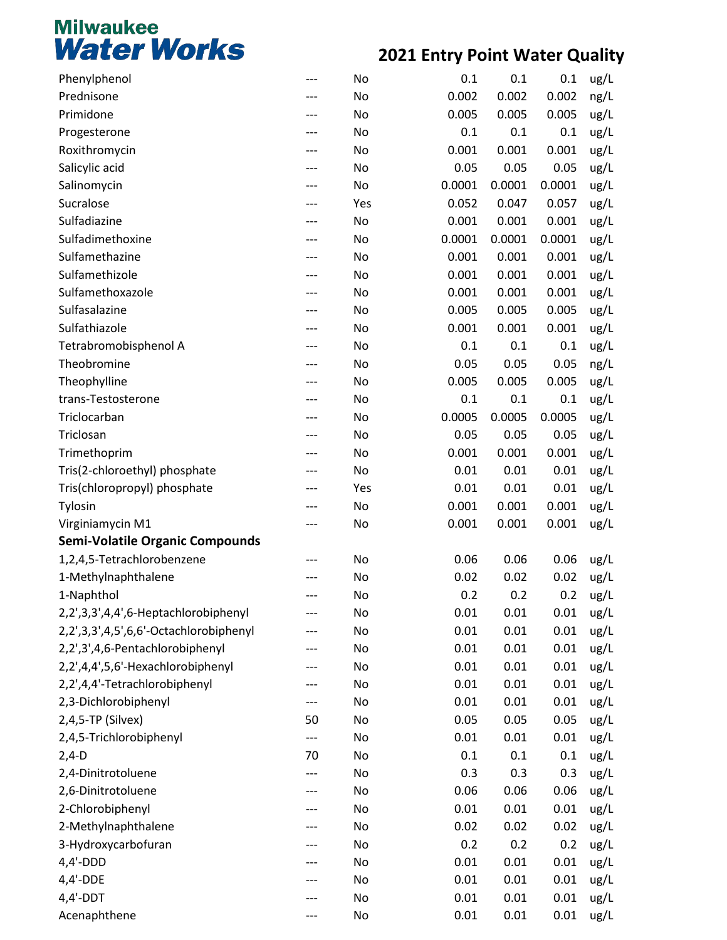| Phenylphenol                           | ---       | No  | 0.1    | 0.1    | 0.1    | ug/L |
|----------------------------------------|-----------|-----|--------|--------|--------|------|
| Prednisone                             | ---       | No  | 0.002  | 0.002  | 0.002  | ng/L |
| Primidone                              | ---       | No  | 0.005  | 0.005  | 0.005  | ug/L |
| Progesterone                           | ---       | No  | 0.1    | 0.1    | 0.1    | ug/L |
| Roxithromycin                          | ---       | No  | 0.001  | 0.001  | 0.001  | ug/L |
| Salicylic acid                         | ---       | No  | 0.05   | 0.05   | 0.05   | ug/L |
| Salinomycin                            | ---       | No  | 0.0001 | 0.0001 | 0.0001 | ug/L |
| Sucralose                              | ---       | Yes | 0.052  | 0.047  | 0.057  | ug/L |
| Sulfadiazine                           | ---       | No  | 0.001  | 0.001  | 0.001  | ug/L |
| Sulfadimethoxine                       | ---       | No  | 0.0001 | 0.0001 | 0.0001 | ug/L |
| Sulfamethazine                         | ---       | No  | 0.001  | 0.001  | 0.001  | ug/L |
| Sulfamethizole                         | ---       | No  | 0.001  | 0.001  | 0.001  | ug/L |
| Sulfamethoxazole                       | ---       | No  | 0.001  | 0.001  | 0.001  | ug/L |
| Sulfasalazine                          | ---       | No  | 0.005  | 0.005  | 0.005  | ug/L |
| Sulfathiazole                          | ---       | No  | 0.001  | 0.001  | 0.001  | ug/L |
| Tetrabromobisphenol A                  | ---       | No  | 0.1    | 0.1    | 0.1    | ug/L |
| Theobromine                            | ---       | No  | 0.05   | 0.05   | 0.05   | ng/L |
| Theophylline                           | ---       | No  | 0.005  | 0.005  | 0.005  | ug/L |
| trans-Testosterone                     | ---       | No  | 0.1    | 0.1    | 0.1    | ug/L |
| Triclocarban                           | ---       | No  | 0.0005 | 0.0005 | 0.0005 | ug/L |
| Triclosan                              | ---       | No  | 0.05   | 0.05   | 0.05   | ug/L |
| Trimethoprim                           | ---       | No  | 0.001  | 0.001  | 0.001  | ug/L |
| Tris(2-chloroethyl) phosphate          | ---       | No  | 0.01   | 0.01   | 0.01   | ug/L |
| Tris(chloropropyl) phosphate           | ---       | Yes | 0.01   | 0.01   | 0.01   | ug/L |
| Tylosin                                | ---       | No  | 0.001  | 0.001  | 0.001  | ug/L |
| Virginiamycin M1                       | ---       | No  | 0.001  | 0.001  | 0.001  | ug/L |
| <b>Semi-Volatile Organic Compounds</b> |           |     |        |        |        |      |
| 1,2,4,5-Tetrachlorobenzene             | ---       | No  | 0.06   | 0.06   | 0.06   | ug/L |
| 1-Methylnaphthalene                    | ---       | No  | 0.02   | 0.02   | 0.02   | ug/L |
| 1-Naphthol                             | ---       | No  | 0.2    | 0.2    | 0.2    | ug/L |
| 2,2',3,3',4,4',6-Heptachlorobiphenyl   | ---       | No  | 0.01   | 0.01   | 0.01   | ug/L |
| 2,2',3,3',4,5',6,6'-Octachlorobiphenyl |           | No  | 0.01   | 0.01   | 0.01   | ug/L |
| 2,2',3',4,6-Pentachlorobiphenyl        | ---       | No  | 0.01   | 0.01   | 0.01   | ug/L |
| 2,2',4,4',5,6'-Hexachlorobiphenyl      | ---       | No  | 0.01   | 0.01   | 0.01   | ug/L |
| 2,2',4,4'-Tetrachlorobiphenyl          |           | No  | 0.01   | 0.01   | 0.01   | ug/L |
| 2,3-Dichlorobiphenyl                   |           | No  | 0.01   | 0.01   | 0.01   |      |
| 2,4,5-TP (Silvex)                      | ---<br>50 | No  | 0.05   | 0.05   | 0.05   | ug/L |
| 2,4,5-Trichlorobiphenyl                |           |     |        |        |        | ug/L |
|                                        | ---       | No  | 0.01   | 0.01   | 0.01   | ug/L |
| $2,4-D$                                | 70        | No  | 0.1    | 0.1    | 0.1    | ug/L |
| 2,4-Dinitrotoluene                     | ---       | No  | 0.3    | 0.3    | 0.3    | ug/L |
| 2,6-Dinitrotoluene                     | ---       | No  | 0.06   | 0.06   | 0.06   | ug/L |
| 2-Chlorobiphenyl                       | ---       | No  | 0.01   | 0.01   | 0.01   | ug/L |
| 2-Methylnaphthalene                    |           | No  | 0.02   | 0.02   | 0.02   | ug/L |
| 3-Hydroxycarbofuran                    | ---       | No  | 0.2    | 0.2    | 0.2    | ug/L |
| $4,4'-DDD$                             | ---       | No  | 0.01   | 0.01   | 0.01   | ug/L |
| $4,4'$ -DDE                            |           | No  | 0.01   | 0.01   | 0.01   | ug/L |
| $4,4'$ -DDT                            |           | No  | 0.01   | 0.01   | 0.01   | ug/L |
| Acenaphthene                           | ---       | No  | 0.01   | 0.01   | 0.01   | ug/L |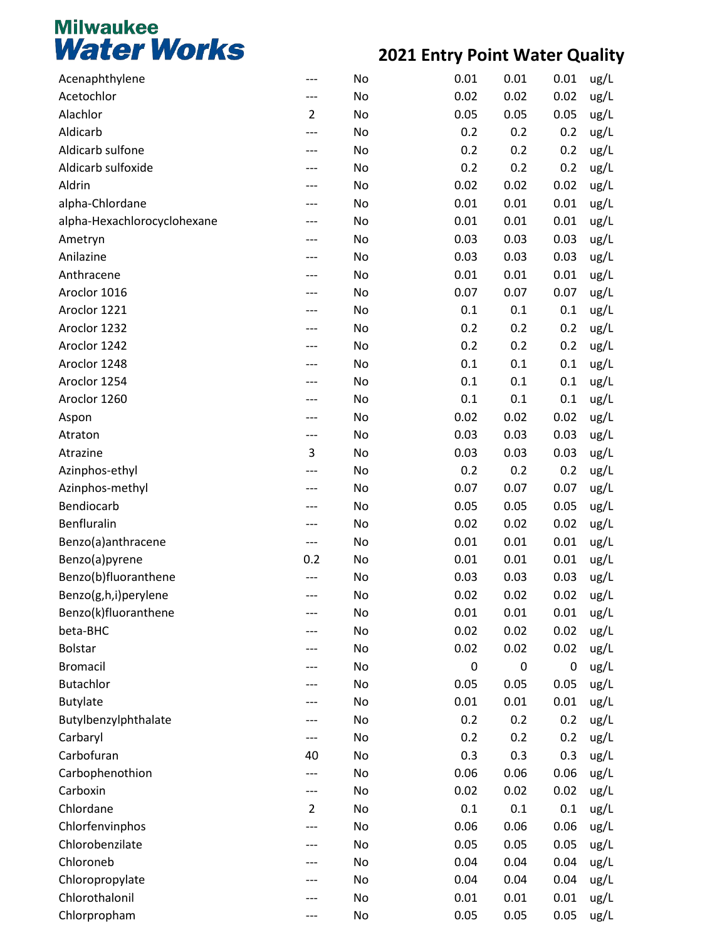| Acenaphthylene              |                | No | 0.01 | 0.01      | 0.01 | ug/L |
|-----------------------------|----------------|----|------|-----------|------|------|
| Acetochlor                  | ---            | No | 0.02 | 0.02      | 0.02 | ug/L |
| Alachlor                    | $\overline{2}$ | No | 0.05 | 0.05      | 0.05 | ug/L |
| Aldicarb                    | ---            | No | 0.2  | 0.2       | 0.2  | ug/L |
| Aldicarb sulfone            |                | No | 0.2  | 0.2       | 0.2  | ug/L |
| Aldicarb sulfoxide          |                | No | 0.2  | 0.2       | 0.2  | ug/L |
| Aldrin                      | ---            | No | 0.02 | 0.02      | 0.02 | ug/L |
| alpha-Chlordane             | ---            | No | 0.01 | 0.01      | 0.01 | ug/L |
| alpha-Hexachlorocyclohexane |                | No | 0.01 | 0.01      | 0.01 | ug/L |
| Ametryn                     |                | No | 0.03 | 0.03      | 0.03 | ug/L |
| Anilazine                   | ---            | No | 0.03 | 0.03      | 0.03 | ug/L |
| Anthracene                  |                | No | 0.01 | 0.01      | 0.01 | ug/L |
| Aroclor 1016                |                | No | 0.07 | 0.07      | 0.07 | ug/L |
| Aroclor 1221                |                | No | 0.1  | 0.1       | 0.1  | ug/L |
| Aroclor 1232                | ---            | No | 0.2  | 0.2       | 0.2  | ug/L |
| Aroclor 1242                |                | No | 0.2  | 0.2       | 0.2  | ug/L |
| Aroclor 1248                |                | No | 0.1  | 0.1       | 0.1  | ug/L |
| Aroclor 1254                |                | No | 0.1  | 0.1       | 0.1  | ug/L |
| Aroclor 1260                | ---            | No | 0.1  | 0.1       | 0.1  | ug/L |
| Aspon                       |                | No | 0.02 | 0.02      | 0.02 | ug/L |
| Atraton                     | ---            | No | 0.03 | 0.03      | 0.03 | ug/L |
| Atrazine                    | 3              | No | 0.03 | 0.03      | 0.03 | ug/L |
| Azinphos-ethyl              | ---            | No | 0.2  | 0.2       | 0.2  | ug/L |
| Azinphos-methyl             |                | No | 0.07 | 0.07      | 0.07 | ug/L |
| Bendiocarb                  |                | No | 0.05 | 0.05      | 0.05 | ug/L |
| Benfluralin                 | ---            | No | 0.02 | 0.02      | 0.02 | ug/L |
| Benzo(a)anthracene          | ---            | No | 0.01 | 0.01      | 0.01 | ug/L |
| Benzo(a)pyrene              | 0.2            | No | 0.01 | 0.01      | 0.01 | ug/L |
| Benzo(b)fluoranthene        |                | No | 0.03 | 0.03      | 0.03 | ug/L |
| Benzo(g,h,i)perylene        | ---            | No | 0.02 | 0.02      | 0.02 | ug/L |
| Benzo(k)fluoranthene        |                | No | 0.01 | 0.01      | 0.01 | ug/L |
| beta-BHC                    |                | No | 0.02 | 0.02      | 0.02 | ug/L |
| <b>Bolstar</b>              |                | No | 0.02 | 0.02      | 0.02 | ug/L |
| <b>Bromacil</b>             |                | No | 0    | $\pmb{0}$ | 0    | ug/L |
| <b>Butachlor</b>            |                | No | 0.05 | 0.05      | 0.05 | ug/L |
| <b>Butylate</b>             |                | No | 0.01 | 0.01      | 0.01 | ug/L |
| Butylbenzylphthalate        | ---            | No | 0.2  | 0.2       | 0.2  | ug/L |
| Carbaryl                    | ---            | No | 0.2  | 0.2       | 0.2  | ug/L |
| Carbofuran                  | 40             | No | 0.3  | 0.3       | 0.3  | ug/L |
| Carbophenothion             | ---            | No | 0.06 | 0.06      | 0.06 | ug/L |
| Carboxin                    | ---            | No | 0.02 | 0.02      | 0.02 | ug/L |
| Chlordane                   | $\overline{2}$ | No | 0.1  | 0.1       | 0.1  | ug/L |
| Chlorfenvinphos             | ---            | No | 0.06 | 0.06      | 0.06 | ug/L |
| Chlorobenzilate             | ---            | No | 0.05 | 0.05      | 0.05 | ug/L |
| Chloroneb                   | ---            | No | 0.04 | 0.04      | 0.04 | ug/L |
| Chloropropylate             |                | No | 0.04 | 0.04      | 0.04 | ug/L |
| Chlorothalonil              |                | No | 0.01 | 0.01      | 0.01 | ug/L |
| Chlorpropham                | ---            | No | 0.05 | 0.05      | 0.05 | ug/L |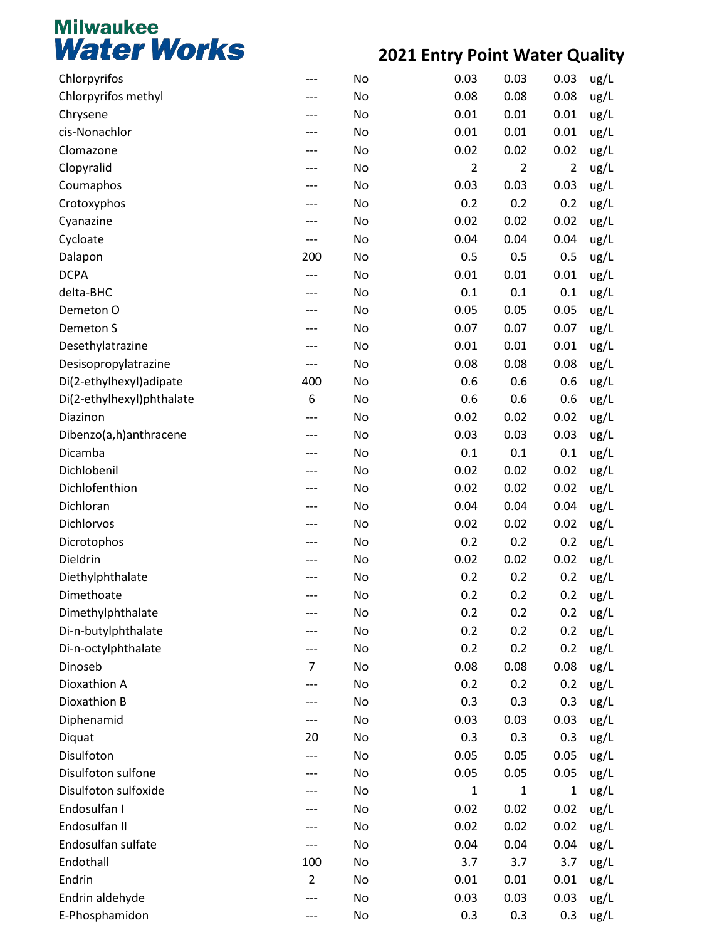| Chlorpyrifos              | ---            | No | 0.03           | 0.03           | 0.03           | ug/L |
|---------------------------|----------------|----|----------------|----------------|----------------|------|
| Chlorpyrifos methyl       |                | No | 0.08           | 0.08           | 0.08           | ug/L |
| Chrysene                  |                | No | 0.01           | 0.01           | 0.01           | ug/L |
| cis-Nonachlor             |                | No | 0.01           | 0.01           | 0.01           | ug/L |
| Clomazone                 |                | No | 0.02           | 0.02           | 0.02           | ug/L |
| Clopyralid                |                | No | $\overline{2}$ | $\overline{2}$ | $\overline{2}$ | ug/L |
| Coumaphos                 | ---            | No | 0.03           | 0.03           | 0.03           | ug/L |
| Crotoxyphos               |                | No | 0.2            | 0.2            | 0.2            | ug/L |
| Cyanazine                 |                | No | 0.02           | 0.02           | 0.02           | ug/L |
| Cycloate                  | ---            | No | 0.04           | 0.04           | 0.04           | ug/L |
| Dalapon                   | 200            | No | 0.5            | 0.5            | 0.5            | ug/L |
| <b>DCPA</b>               | ---            | No | 0.01           | 0.01           | 0.01           | ug/L |
| delta-BHC                 |                | No | 0.1            | 0.1            | 0.1            | ug/L |
| Demeton O                 |                | No | 0.05           | 0.05           | 0.05           | ug/L |
| Demeton S                 | ---            | No | 0.07           | 0.07           | 0.07           | ug/L |
| Desethylatrazine          |                | No | 0.01           | 0.01           | 0.01           | ug/L |
| Desisopropylatrazine      | ---            | No | 0.08           | 0.08           | 0.08           | ug/L |
| Di(2-ethylhexyl) adipate  | 400            | No | 0.6            | 0.6            | 0.6            | ug/L |
| Di(2-ethylhexyl)phthalate | 6              | No | 0.6            | 0.6            | 0.6            | ug/L |
| Diazinon                  | ---            | No | 0.02           | 0.02           | 0.02           | ug/L |
| Dibenzo(a,h)anthracene    | ---            | No | 0.03           | 0.03           | 0.03           | ug/L |
| Dicamba                   |                | No | 0.1            | 0.1            | 0.1            | ug/L |
| Dichlobenil               | ---            | No | 0.02           | 0.02           | 0.02           | ug/L |
| Dichlofenthion            |                | No | 0.02           | 0.02           | 0.02           | ug/L |
| Dichloran                 |                | No | 0.04           | 0.04           | 0.04           | ug/L |
| Dichlorvos                |                | No | 0.02           | 0.02           | 0.02           | ug/L |
| Dicrotophos               |                | No | 0.2            | 0.2            | 0.2            | ug/L |
| Dieldrin                  |                | No | 0.02           | 0.02           | 0.02           | ug/L |
| Diethylphthalate          |                | No | 0.2            | 0.2            | 0.2            | ug/L |
| Dimethoate                | ---            | No | 0.2            | 0.2            | 0.2            | ug/L |
| Dimethylphthalate         |                | No | 0.2            | 0.2            | 0.2            | ug/L |
| Di-n-butylphthalate       |                | No | 0.2            | 0.2            | 0.2            | ug/L |
| Di-n-octylphthalate       | ---            | No | 0.2            | 0.2            | 0.2            | ug/L |
| Dinoseb                   | $\overline{7}$ | No | 0.08           | 0.08           | 0.08           | ug/L |
| Dioxathion A              |                | No | 0.2            | 0.2            | 0.2            | ug/L |
| Dioxathion B              |                | No | 0.3            | 0.3            | 0.3            | ug/L |
| Diphenamid                | ---            | No | 0.03           | 0.03           | 0.03           | ug/L |
| Diquat                    | 20             | No | 0.3            | 0.3            | 0.3            | ug/L |
| Disulfoton                | ---            | No | 0.05           | 0.05           | 0.05           | ug/L |
| Disulfoton sulfone        |                | No | 0.05           | 0.05           | 0.05           | ug/L |
| Disulfoton sulfoxide      |                | No | 1              | 1              | 1              | ug/L |
| Endosulfan I              |                | No | 0.02           | 0.02           | 0.02           | ug/L |
| Endosulfan II             |                | No | 0.02           | 0.02           | 0.02           | ug/L |
| Endosulfan sulfate        |                | No | 0.04           | 0.04           | 0.04           | ug/L |
| Endothall                 | 100            | No | 3.7            | 3.7            | 3.7            | ug/L |
| Endrin                    | $\overline{2}$ | No | 0.01           | 0.01           | 0.01           | ug/L |
| Endrin aldehyde           |                | No | 0.03           | 0.03           | 0.03           | ug/L |
| E-Phosphamidon            |                | No | 0.3            | 0.3            | 0.3            | ug/L |
|                           |                |    |                |                |                |      |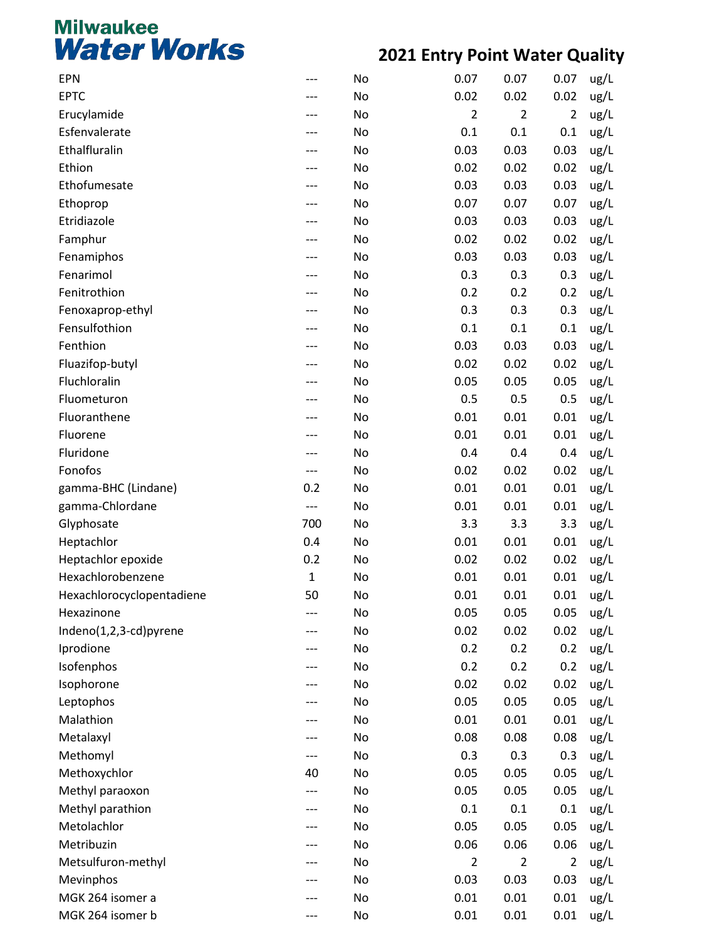| <b>EPN</b>                | --- | No | 0.07           | 0.07           | 0.07           | ug/L |
|---------------------------|-----|----|----------------|----------------|----------------|------|
| <b>EPTC</b>               |     | No | 0.02           | 0.02           | 0.02           | ug/L |
| Erucylamide               | --- | No | $\overline{2}$ | $\overline{2}$ | $\overline{2}$ | ug/L |
| Esfenvalerate             |     | No | 0.1            | 0.1            | 0.1            | ug/L |
| Ethalfluralin             |     | No | 0.03           | 0.03           | 0.03           | ug/L |
| Ethion                    |     | No | 0.02           | 0.02           | 0.02           | ug/L |
| Ethofumesate              | --- | No | 0.03           | 0.03           | 0.03           | ug/L |
| Ethoprop                  |     | No | 0.07           | 0.07           | 0.07           | ug/L |
| Etridiazole               |     | No | 0.03           | 0.03           | 0.03           | ug/L |
| Famphur                   |     | No | 0.02           | 0.02           | 0.02           | ug/L |
| Fenamiphos                | --- | No | 0.03           | 0.03           | 0.03           | ug/L |
| Fenarimol                 |     | No | 0.3            | 0.3            | 0.3            | ug/L |
| Fenitrothion              |     | No | 0.2            | 0.2            | 0.2            | ug/L |
| Fenoxaprop-ethyl          |     | No | 0.3            | 0.3            | 0.3            | ug/L |
| Fensulfothion             | --- | No | 0.1            | 0.1            | 0.1            | ug/L |
| Fenthion                  |     | No | 0.03           | 0.03           | 0.03           | ug/L |
| Fluazifop-butyl           |     | No | 0.02           | 0.02           | 0.02           | ug/L |
| Fluchloralin              |     | No | 0.05           | 0.05           | 0.05           | ug/L |
| Fluometuron               | --- | No | 0.5            | 0.5            | 0.5            | ug/L |
| Fluoranthene              |     | No | 0.01           | 0.01           | 0.01           | ug/L |
| Fluorene                  |     | No | 0.01           | 0.01           | 0.01           | ug/L |
| Fluridone                 | --- | No | 0.4            | 0.4            | 0.4            | ug/L |
| Fonofos                   | --- | No | 0.02           | 0.02           | 0.02           | ug/L |
| gamma-BHC (Lindane)       | 0.2 | No | 0.01           | 0.01           | 0.01           | ug/L |
| gamma-Chlordane           | --- | No | 0.01           | 0.01           | 0.01           | ug/L |
| Glyphosate                | 700 | No | 3.3            | 3.3            | 3.3            | ug/L |
| Heptachlor                | 0.4 | No | 0.01           | 0.01           | 0.01           | ug/L |
| Heptachlor epoxide        | 0.2 | No | 0.02           | 0.02           | 0.02           | ug/L |
| Hexachlorobenzene         | 1   | No | 0.01           | 0.01           | 0.01           | ug/L |
| Hexachlorocyclopentadiene | 50  | No | 0.01           | 0.01           | 0.01           | ug/L |
| Hexazinone                |     | No | 0.05           | 0.05           | 0.05           | ug/L |
| Indeno(1,2,3-cd)pyrene    |     | No | 0.02           | 0.02           | 0.02           | ug/L |
| Iprodione                 | --- | No | 0.2            | 0.2            | 0.2            | ug/L |
| Isofenphos                |     | No | 0.2            | 0.2            | 0.2            | ug/L |
| Isophorone                |     | No | 0.02           | 0.02           | 0.02           | ug/L |
| Leptophos                 |     | No | 0.05           | 0.05           | 0.05           | ug/L |
| Malathion                 | --- | No | 0.01           | 0.01           | 0.01           | ug/L |
| Metalaxyl                 |     | No | 0.08           | 0.08           | 0.08           | ug/L |
| Methomyl                  | --- | No | 0.3            | 0.3            | 0.3            | ug/L |
| Methoxychlor              | 40  | No | 0.05           | 0.05           | 0.05           | ug/L |
| Methyl paraoxon           | --- | No | 0.05           | 0.05           | 0.05           | ug/L |
| Methyl parathion          |     | No | 0.1            | 0.1            | 0.1            | ug/L |
| Metolachlor               |     | No | 0.05           | 0.05           | 0.05           | ug/L |
| Metribuzin                | --- | No | 0.06           | 0.06           | 0.06           | ug/L |
| Metsulfuron-methyl        | --- | No | $\overline{2}$ | $\overline{2}$ | $\overline{2}$ | ug/L |
| Mevinphos                 |     | No | 0.03           | 0.03           | 0.03           | ug/L |
| MGK 264 isomer a          |     | No | 0.01           | 0.01           | 0.01           | ug/L |
| MGK 264 isomer b          | --- | No | 0.01           | 0.01           | 0.01           | ug/L |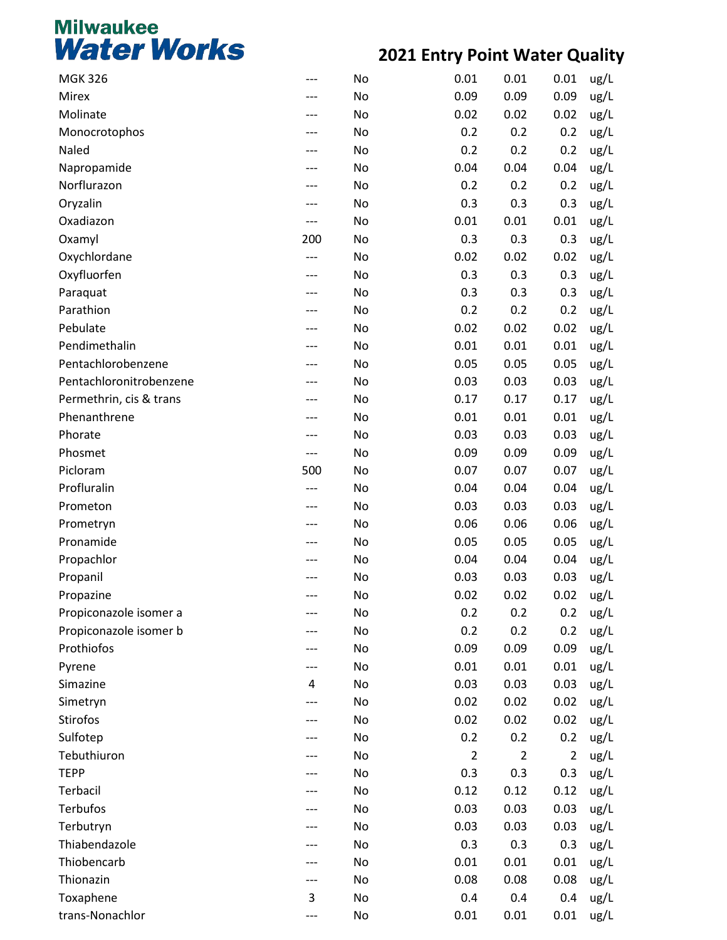| <b>MGK 326</b>          | --- | No | 0.01           | 0.01           | 0.01           | ug/L |
|-------------------------|-----|----|----------------|----------------|----------------|------|
| Mirex                   | --- | No | 0.09           | 0.09           | 0.09           | ug/L |
| Molinate                | --- | No | 0.02           | 0.02           | 0.02           | ug/L |
| Monocrotophos           |     | No | 0.2            | 0.2            | 0.2            | ug/L |
| Naled                   |     | No | 0.2            | 0.2            | 0.2            | ug/L |
| Napropamide             | --- | No | 0.04           | 0.04           | 0.04           | ug/L |
| Norflurazon             | --- | No | 0.2            | 0.2            | 0.2            | ug/L |
| Oryzalin                |     | No | 0.3            | 0.3            | 0.3            | ug/L |
| Oxadiazon               | --- | No | 0.01           | 0.01           | 0.01           | ug/L |
| Oxamyl                  | 200 | No | 0.3            | 0.3            | 0.3            | ug/L |
| Oxychlordane            | --- | No | 0.02           | 0.02           | 0.02           | ug/L |
| Oxyfluorfen             |     | No | 0.3            | 0.3            | 0.3            | ug/L |
| Paraquat                | --- | No | 0.3            | 0.3            | 0.3            | ug/L |
| Parathion               | --- | No | 0.2            | 0.2            | 0.2            | ug/L |
| Pebulate                | --- | No | 0.02           | 0.02           | 0.02           | ug/L |
| Pendimethalin           |     | No | 0.01           | 0.01           | 0.01           | ug/L |
| Pentachlorobenzene      | --- | No | 0.05           | 0.05           | 0.05           | ug/L |
| Pentachloronitrobenzene | --- | No | 0.03           | 0.03           | 0.03           | ug/L |
| Permethrin, cis & trans | --- | No | 0.17           | 0.17           | 0.17           | ug/L |
| Phenanthrene            |     | No | 0.01           | 0.01           | 0.01           | ug/L |
| Phorate                 | --- | No | 0.03           | 0.03           | 0.03           | ug/L |
| Phosmet                 | --- | No | 0.09           | 0.09           | 0.09           | ug/L |
| Picloram                | 500 | No | 0.07           | 0.07           | 0.07           | ug/L |
| Profluralin             | --- | No | 0.04           | 0.04           | 0.04           | ug/L |
| Prometon                | --- | No | 0.03           | 0.03           | 0.03           | ug/L |
| Prometryn               | --- | No | 0.06           | 0.06           | 0.06           | ug/L |
| Pronamide               | --- | No | 0.05           | 0.05           | 0.05           | ug/L |
| Propachlor              |     | No | 0.04           | 0.04           | 0.04           | ug/L |
| Propanil                |     | No | 0.03           | 0.03           | 0.03           | ug/L |
| Propazine               | --- | No | 0.02           | 0.02           | 0.02           | ug/L |
| Propiconazole isomer a  |     | No | 0.2            | 0.2            | 0.2            | ug/L |
| Propiconazole isomer b  |     | No | 0.2            | 0.2            | 0.2            | ug/L |
| Prothiofos              |     | No | 0.09           | 0.09           | 0.09           | ug/L |
| Pyrene                  |     | No | 0.01           | 0.01           | 0.01           | ug/L |
| Simazine                | 4   | No | 0.03           | 0.03           | 0.03           | ug/L |
| Simetryn                |     | No | 0.02           | 0.02           | 0.02           | ug/L |
| Stirofos                |     | No | 0.02           | 0.02           | 0.02           | ug/L |
| Sulfotep                |     | No | 0.2            | 0.2            | 0.2            | ug/L |
| Tebuthiuron             |     | No | $\overline{2}$ | $\overline{2}$ | $\overline{2}$ | ug/L |
| <b>TEPP</b>             |     | No | 0.3            | 0.3            | 0.3            | ug/L |
| Terbacil                |     | No | 0.12           | 0.12           | 0.12           | ug/L |
| <b>Terbufos</b>         |     | No | 0.03           | 0.03           | 0.03           | ug/L |
| Terbutryn               |     | No | 0.03           | 0.03           | 0.03           | ug/L |
| Thiabendazole           |     | No | 0.3            | 0.3            | 0.3            | ug/L |
| Thiobencarb             |     | No | 0.01           | 0.01           | 0.01           | ug/L |
| Thionazin               | --- | No | 0.08           | 0.08           | 0.08           | ug/L |
| Toxaphene               | 3   | No | 0.4            | 0.4            | 0.4            | ug/L |
| trans-Nonachlor         |     | No | 0.01           | 0.01           | 0.01           | ug/L |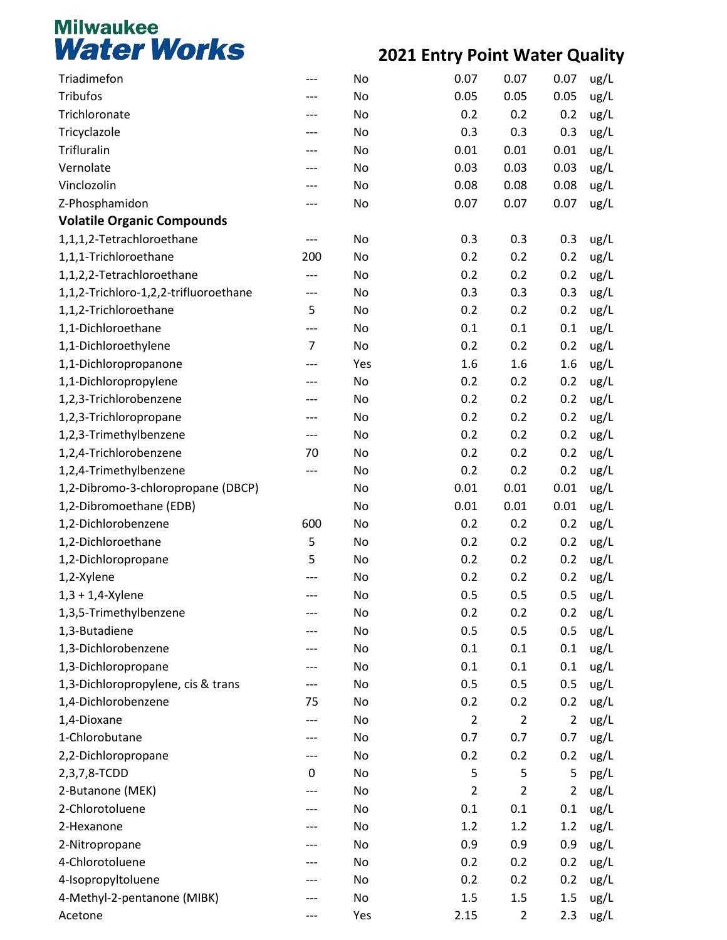| Triadimefon                           |                | No  | 0.07           | 0.07           | 0.07           | ug/L |
|---------------------------------------|----------------|-----|----------------|----------------|----------------|------|
| <b>Tribufos</b>                       |                | No  | 0.05           | 0.05           | 0.05           | ug/L |
| Trichloronate                         |                | No  | 0.2            | 0.2            | 0.2            | ug/L |
| Tricyclazole                          |                | No  | 0.3            | 0.3            | 0.3            | ug/L |
| Trifluralin                           |                | No  | 0.01           | 0.01           | 0.01           | ug/L |
| Vernolate                             |                | No  | 0.03           | 0.03           | 0.03           | ug/L |
| Vinclozolin                           |                | No  | 0.08           | 0.08           | 0.08           | ug/L |
| Z-Phosphamidon                        |                | No  | 0.07           | 0.07           | 0.07           | ug/L |
| <b>Volatile Organic Compounds</b>     |                |     |                |                |                |      |
| 1,1,1,2-Tetrachloroethane             | ---            | No  | 0.3            | 0.3            | 0.3            | ug/L |
| 1,1,1-Trichloroethane                 | 200            | No  | 0.2            | 0.2            | 0.2            | ug/L |
| 1,1,2,2-Tetrachloroethane             |                | No  | 0.2            | 0.2            | 0.2            | ug/L |
| 1,1,2-Trichloro-1,2,2-trifluoroethane | ---            | No  | 0.3            | 0.3            | 0.3            | ug/L |
| 1,1,2-Trichloroethane                 | 5              | No  | 0.2            | 0.2            | 0.2            | ug/L |
| 1,1-Dichloroethane                    | ---            | No  | 0.1            | 0.1            | 0.1            | ug/L |
| 1,1-Dichloroethylene                  | $\overline{7}$ | No  | 0.2            | 0.2            | 0.2            | ug/L |
| 1,1-Dichloropropanone                 |                | Yes | 1.6            | 1.6            | 1.6            | ug/L |
| 1,1-Dichloropropylene                 |                | No  | 0.2            | 0.2            | 0.2            | ug/L |
| 1,2,3-Trichlorobenzene                |                | No  | 0.2            | 0.2            | 0.2            | ug/L |
| 1,2,3-Trichloropropane                |                | No  | 0.2            | 0.2            | 0.2            | ug/L |
| 1,2,3-Trimethylbenzene                | ---            | No  | 0.2            | 0.2            | 0.2            | ug/L |
| 1,2,4-Trichlorobenzene                | 70             | No  | 0.2            | 0.2            | 0.2            | ug/L |
| 1,2,4-Trimethylbenzene                | ---            | No  | 0.2            | 0.2            | 0.2            | ug/L |
| 1,2-Dibromo-3-chloropropane (DBCP)    |                | No  | 0.01           | 0.01           | 0.01           | ug/L |
| 1,2-Dibromoethane (EDB)               |                | No  | 0.01           | 0.01           | 0.01           | ug/L |
| 1,2-Dichlorobenzene                   | 600            | No  | 0.2            | 0.2            | 0.2            | ug/L |
| 1,2-Dichloroethane                    | 5              | No  | 0.2            | 0.2            | 0.2            | ug/L |
| 1,2-Dichloropropane                   | 5              | No  | 0.2            | 0.2            | 0.2            | ug/L |
| 1,2-Xylene                            |                | No  | 0.2            | 0.2            | 0.2            | ug/L |
| $1,3 + 1,4$ -Xylene                   |                | No  | 0.5            | 0.5            | 0.5            | ug/L |
| 1,3,5-Trimethylbenzene                |                | No  | 0.2            | 0.2            | 0.2            | ug/L |
| 1,3-Butadiene                         |                | No  | 0.5            | 0.5            | 0.5            | ug/L |
| 1,3-Dichlorobenzene                   |                | No  | 0.1            | 0.1            | 0.1            | ug/L |
| 1,3-Dichloropropane                   |                | No  | 0.1            | 0.1            | 0.1            | ug/L |
| 1,3-Dichloropropylene, cis & trans    |                | No  | 0.5            | 0.5            | 0.5            | ug/L |
| 1,4-Dichlorobenzene                   | 75             | No  | 0.2            | 0.2            | 0.2            | ug/L |
| 1,4-Dioxane                           |                | No  | $\overline{2}$ | $\overline{2}$ | $\overline{2}$ | ug/L |
| 1-Chlorobutane                        |                | No  | 0.7            | 0.7            | 0.7            | ug/L |
| 2,2-Dichloropropane                   |                | No  | 0.2            | 0.2            | 0.2            | ug/L |
| 2,3,7,8-TCDD                          | 0              | No  | 5              | 5              | 5              | pg/L |
| 2-Butanone (MEK)                      |                | No  | $\overline{2}$ | $\overline{2}$ | 2              | ug/L |
| 2-Chlorotoluene                       |                | No  | 0.1            | 0.1            | 0.1            | ug/L |
| 2-Hexanone                            |                | No  | 1.2            | 1.2            | 1.2            | ug/L |
| 2-Nitropropane                        |                | No  | 0.9            | 0.9            | 0.9            | ug/L |
| 4-Chlorotoluene                       |                | No  | 0.2            | 0.2            | 0.2            | ug/L |
| 4-Isopropyltoluene                    |                | No  | 0.2            | 0.2            | 0.2            | ug/L |
| 4-Methyl-2-pentanone (MIBK)           |                | No  | 1.5            | $1.5\,$        | 1.5            | ug/L |
| Acetone                               |                | Yes | 2.15           | $\overline{2}$ | 2.3            | ug/L |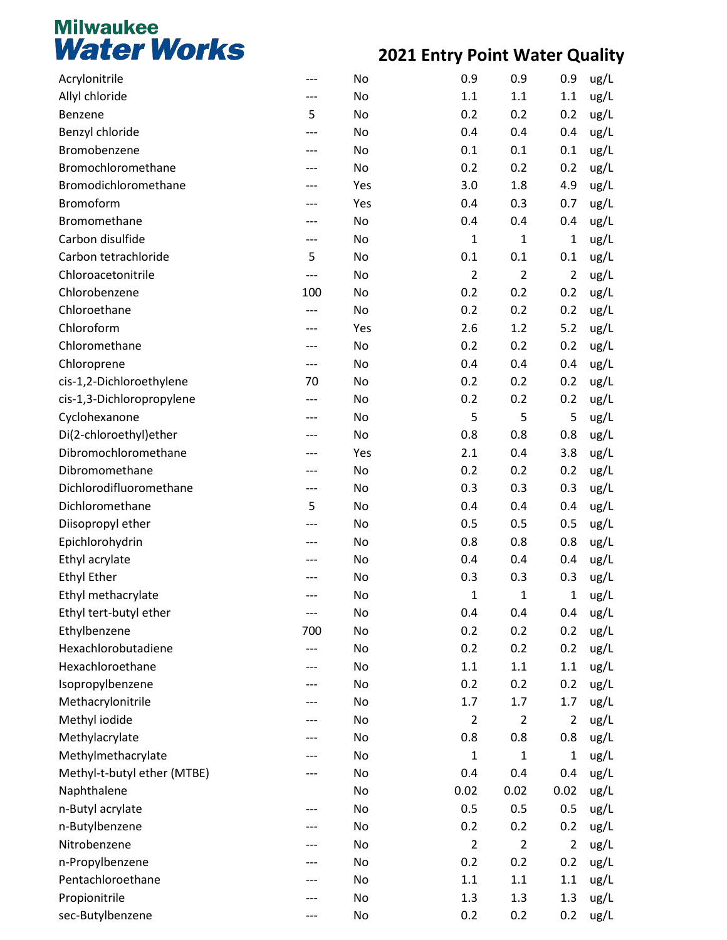| Acrylonitrile               | --- | No  | 0.9            | 0.9            | 0.9            | ug/L |
|-----------------------------|-----|-----|----------------|----------------|----------------|------|
| Allyl chloride              |     | No  | 1.1            | 1.1            | 1.1            | ug/L |
| Benzene                     | 5   | No  | 0.2            | 0.2            | 0.2            | ug/L |
| Benzyl chloride             |     | No  | 0.4            | 0.4            | 0.4            | ug/L |
| Bromobenzene                |     | No  | 0.1            | 0.1            | 0.1            | ug/L |
| Bromochloromethane          |     | No  | 0.2            | 0.2            | 0.2            | ug/L |
| Bromodichloromethane        | --- | Yes | 3.0            | 1.8            | 4.9            | ug/L |
| Bromoform                   |     | Yes | 0.4            | 0.3            | 0.7            | ug/L |
| Bromomethane                |     | No  | 0.4            | 0.4            | 0.4            | ug/L |
| Carbon disulfide            | --- | No  | 1              | $\mathbf{1}$   | $\mathbf 1$    | ug/L |
| Carbon tetrachloride        | 5   | No  | 0.1            | 0.1            | 0.1            | ug/L |
| Chloroacetonitrile          |     | No  | $\overline{2}$ | $\overline{2}$ | $\overline{2}$ | ug/L |
| Chlorobenzene               | 100 | No  | 0.2            | 0.2            | 0.2            | ug/L |
| Chloroethane                | --- | No  | 0.2            | 0.2            | 0.2            | ug/L |
| Chloroform                  | --- | Yes | 2.6            | 1.2            | 5.2            | ug/L |
| Chloromethane               | --- | No  | 0.2            | 0.2            | 0.2            | ug/L |
| Chloroprene                 | --- | No  | 0.4            | 0.4            | 0.4            | ug/L |
| cis-1,2-Dichloroethylene    | 70  | No  | 0.2            | 0.2            | 0.2            | ug/L |
| cis-1,3-Dichloropropylene   | --- | No  | 0.2            | 0.2            | 0.2            | ug/L |
| Cyclohexanone               | --- | No  | 5              | 5              | 5              | ug/L |
| Di(2-chloroethyl) ether     |     | No  | 0.8            | 0.8            | 0.8            | ug/L |
| Dibromochloromethane        | --- | Yes | 2.1            | 0.4            | 3.8            | ug/L |
| Dibromomethane              | --- | No  | 0.2            | 0.2            | 0.2            | ug/L |
| Dichlorodifluoromethane     | --- | No  | 0.3            | 0.3            | 0.3            | ug/L |
| Dichloromethane             | 5   | No  | 0.4            | 0.4            | 0.4            | ug/L |
| Diisopropyl ether           | --- | No  | 0.5            | 0.5            | 0.5            | ug/L |
| Epichlorohydrin             | --- | No  | 0.8            | 0.8            | 0.8            | ug/L |
| Ethyl acrylate              |     | No  | 0.4            | 0.4            | 0.4            | ug/L |
| <b>Ethyl Ether</b>          |     | No  | 0.3            | 0.3            | 0.3            | ug/L |
| Ethyl methacrylate          | --- | No  | 1              | $\mathbf{1}$   | $\mathbf{1}$   | ug/L |
| Ethyl tert-butyl ether      | --- | No  | 0.4            | 0.4            | 0.4            | ug/L |
| Ethylbenzene                | 700 | No  | 0.2            | 0.2            | 0.2            | ug/L |
| Hexachlorobutadiene         |     | No  | 0.2            | 0.2            | 0.2            | ug/L |
| Hexachloroethane            |     | No  | 1.1            | 1.1            | 1.1            | ug/L |
| Isopropylbenzene            |     | No  | 0.2            | 0.2            | 0.2            | ug/L |
| Methacrylonitrile           | --- | No  | 1.7            | 1.7            | 1.7            | ug/L |
| Methyl iodide               | --- | No  | $\overline{2}$ | $\overline{2}$ | $\overline{2}$ | ug/L |
| Methylacrylate              |     | No  | 0.8            | 0.8            | 0.8            | ug/L |
| Methylmethacrylate          |     | No  | 1              | 1              | $\mathbf{1}$   | ug/L |
| Methyl-t-butyl ether (MTBE) | --- | No  | 0.4            | 0.4            | 0.4            | ug/L |
| Naphthalene                 |     | No  | 0.02           | 0.02           | 0.02           | ug/L |
| n-Butyl acrylate            | --- | No  | 0.5            | 0.5            | 0.5            | ug/L |
| n-Butylbenzene              |     | No  | 0.2            | 0.2            | 0.2            | ug/L |
| Nitrobenzene                |     | No  | $\overline{2}$ | $\overline{2}$ | $\overline{2}$ | ug/L |
| n-Propylbenzene             |     | No  | 0.2            | 0.2            | 0.2            | ug/L |
| Pentachloroethane           |     | No  | 1.1            | 1.1            | $1.1\,$        | ug/L |
| Propionitrile               |     | No  | 1.3            | 1.3            | 1.3            | ug/L |
| sec-Butylbenzene            |     | No  | 0.2            | 0.2            | 0.2            | ug/L |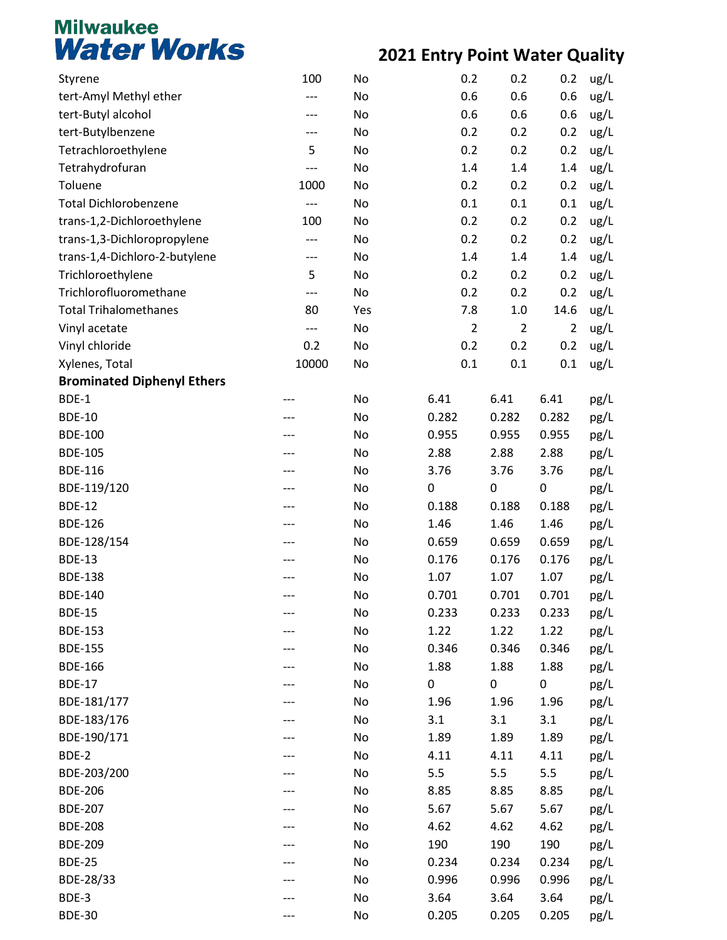| Styrene                           | 100   | No  | 0.2            | 0.2              | 0.2            | ug/L |
|-----------------------------------|-------|-----|----------------|------------------|----------------|------|
| tert-Amyl Methyl ether            | ---   | No  | 0.6            | 0.6              | 0.6            | ug/L |
| tert-Butyl alcohol                | ---   | No  | 0.6            | 0.6              | 0.6            | ug/L |
| tert-Butylbenzene                 | ---   | No  | 0.2            | 0.2              | 0.2            | ug/L |
| Tetrachloroethylene               | 5     | No  | 0.2            | 0.2              | 0.2            | ug/L |
| Tetrahydrofuran                   | ---   | No  | 1.4            | $1.4\,$          | 1.4            | ug/L |
| Toluene                           | 1000  | No  | 0.2            | 0.2              | 0.2            | ug/L |
| <b>Total Dichlorobenzene</b>      | ---   | No  | 0.1            | 0.1              | 0.1            | ug/L |
| trans-1,2-Dichloroethylene        | 100   | No  | 0.2            | 0.2              | 0.2            | ug/L |
| trans-1,3-Dichloropropylene       | ---   | No  | 0.2            | 0.2              | 0.2            | ug/L |
| trans-1,4-Dichloro-2-butylene     | ---   | No  | 1.4            | 1.4              | 1.4            | ug/L |
| Trichloroethylene                 | 5     | No  | 0.2            | 0.2              | 0.2            | ug/L |
| Trichlorofluoromethane            | ---   | No  | 0.2            | 0.2              | 0.2            | ug/L |
| <b>Total Trihalomethanes</b>      | 80    | Yes | 7.8            | $1.0\,$          | 14.6           | ug/L |
| Vinyl acetate                     | ---   | No  | $\overline{2}$ | $\overline{2}$   | $\overline{2}$ | ug/L |
| Vinyl chloride                    | 0.2   | No  | 0.2            | 0.2              | 0.2            | ug/L |
| Xylenes, Total                    | 10000 | No  | 0.1            | 0.1              | 0.1            | ug/L |
| <b>Brominated Diphenyl Ethers</b> |       |     |                |                  |                |      |
| BDE-1                             |       | No  | 6.41           | 6.41             | 6.41           | pg/L |
| <b>BDE-10</b>                     |       | No  | 0.282          | 0.282            | 0.282          | pg/L |
| <b>BDE-100</b>                    |       | No  | 0.955          | 0.955            | 0.955          | pg/L |
| <b>BDE-105</b>                    |       | No  | 2.88           | 2.88             | 2.88           | pg/L |
| <b>BDE-116</b>                    |       | No  | 3.76           | 3.76             | 3.76           | pg/L |
| BDE-119/120                       |       | No  | $\mathbf 0$    | $\boldsymbol{0}$ | $\pmb{0}$      | pg/L |
| <b>BDE-12</b>                     |       | No  | 0.188          | 0.188            | 0.188          | pg/L |
| <b>BDE-126</b>                    |       | No  | 1.46           | 1.46             | 1.46           | pg/L |
| BDE-128/154                       |       | No  | 0.659          | 0.659            | 0.659          | pg/L |
| <b>BDE-13</b>                     |       | No  | 0.176          | 0.176            | 0.176          | pg/L |
| <b>BDE-138</b>                    |       | No  | 1.07           | 1.07             | 1.07           | pg/L |
| <b>BDE-140</b>                    |       | No  | 0.701          | 0.701            | 0.701          | pg/L |
| <b>BDE-15</b>                     |       | No  | 0.233          | 0.233            | 0.233          | pg/L |
| <b>BDE-153</b>                    |       | No  | 1.22           | 1.22             | 1.22           | pg/L |
| <b>BDE-155</b>                    |       | No  | 0.346          | 0.346            | 0.346          | pg/L |
| <b>BDE-166</b>                    |       | No  | 1.88           | 1.88             | 1.88           | pg/L |
| <b>BDE-17</b>                     |       | No  | 0              | 0                | 0              | pg/L |
| BDE-181/177                       |       | No  | 1.96           | 1.96             | 1.96           | pg/L |
| BDE-183/176                       |       | No  | 3.1            | 3.1              | 3.1            | pg/L |
| BDE-190/171                       |       | No  | 1.89           | 1.89             | 1.89           | pg/L |
| BDE-2                             |       | No  | 4.11           | 4.11             | 4.11           | pg/L |
| BDE-203/200                       |       | No  | 5.5            | 5.5              | 5.5            | pg/L |
| <b>BDE-206</b>                    |       | No  | 8.85           | 8.85             | 8.85           | pg/L |
| <b>BDE-207</b>                    |       | No  | 5.67           | 5.67             | 5.67           | pg/L |
| <b>BDE-208</b>                    |       | No  | 4.62           | 4.62             | 4.62           | pg/L |
| <b>BDE-209</b>                    |       | No  | 190            | 190              | 190            | pg/L |
| <b>BDE-25</b>                     |       | No  | 0.234          | 0.234            | 0.234          | pg/L |
| BDE-28/33                         |       | No  | 0.996          | 0.996            | 0.996          | pg/L |
| BDE-3                             |       | No  | 3.64           | 3.64             | 3.64           | pg/L |
| <b>BDE-30</b>                     |       | No  | 0.205          | 0.205            | 0.205          | pg/L |